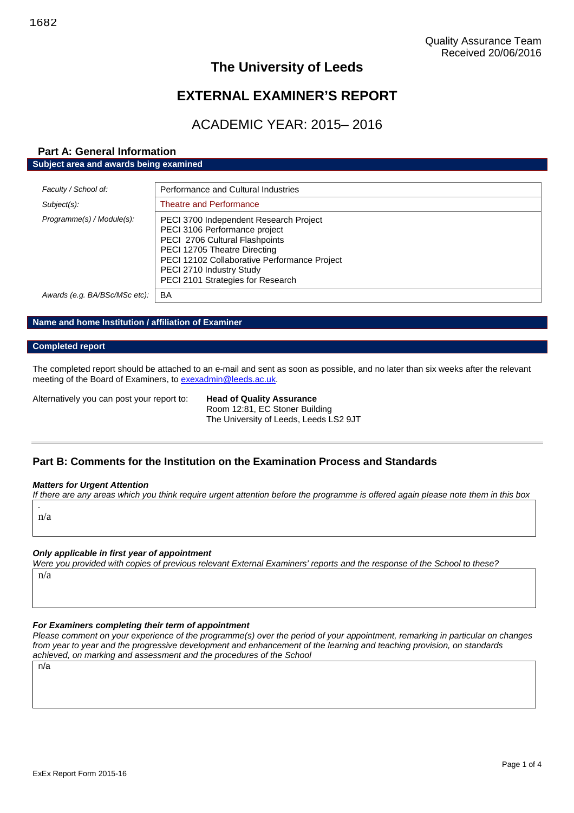# **The University of Leeds**

# **EXTERNAL EXAMINER'S REPORT**

# ACADEMIC YEAR: 2015– 2016

# **Part A: General Information Subject area and awards being examined**

| Faculty / School of:          | Performance and Cultural Industries                                                                                                                                                                                                                        |
|-------------------------------|------------------------------------------------------------------------------------------------------------------------------------------------------------------------------------------------------------------------------------------------------------|
| Subject(s):                   | <b>Theatre and Performance</b>                                                                                                                                                                                                                             |
| Programme(s) / Module(s):     | PECI 3700 Independent Research Project<br>PECI 3106 Performance project<br>PECI 2706 Cultural Flashpoints<br>PECI 12705 Theatre Directing<br>PECI 12102 Collaborative Performance Project<br>PECI 2710 Industry Study<br>PECI 2101 Strategies for Research |
| Awards (e.g. BA/BSc/MSc etc): | BA                                                                                                                                                                                                                                                         |

# **Name and home Institution / affiliation of Examiner**

## **Completed report**

The completed report should be attached to an e-mail and sent as soon as possible, and no later than six weeks after the relevant meeting of the Board of Examiners, to [exexadmin@leeds.ac.uk.](mailto:exexadmin@leeds.ac.uk)

Alternatively you can post your report to: **Head of Quality Assurance**

Room 12:81, EC Stoner Building The University of Leeds, Leeds LS2 9JT

# **Part B: Comments for the Institution on the Examination Process and Standards**

#### *Matters for Urgent Attention*

*If there are any areas which you think require urgent attention before the programme is offered again please note them in this box*

*.* n/a

# *Only applicable in first year of appointment*

*Were you provided with copies of previous relevant External Examiners' reports and the response of the School to these?* n/a

# *For Examiners completing their term of appointment*

*Please comment on your experience of the programme(s) over the period of your appointment, remarking in particular on changes from year to year and the progressive development and enhancement of the learning and teaching provision, on standards achieved, on marking and assessment and the procedures of the School*

n/a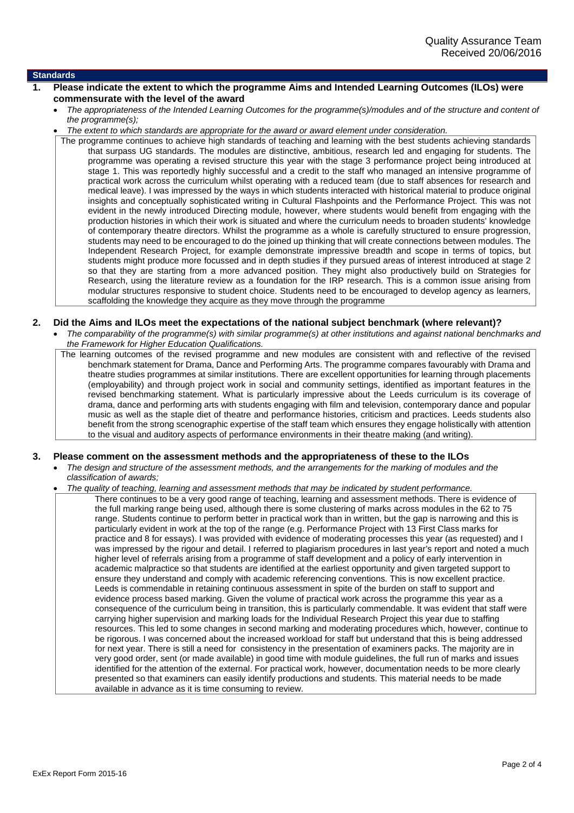#### **Standards**

- **1. Please indicate the extent to which the programme Aims and Intended Learning Outcomes (ILOs) were commensurate with the level of the award**
	- *The appropriateness of the Intended Learning Outcomes for the programme(s)/modules and of the structure and content of the programme(s);*
	- *The extent to which standards are appropriate for the award or award element under consideration.*

The programme continues to achieve high standards of teaching and learning with the best students achieving standards that surpass UG standards. The modules are distinctive, ambitious, research led and engaging for students. The programme was operating a revised structure this year with the stage 3 performance project being introduced at stage 1. This was reportedly highly successful and a credit to the staff who managed an intensive programme of practical work across the curriculum whilst operating with a reduced team (due to staff absences for research and medical leave). I was impressed by the ways in which students interacted with historical material to produce original insights and conceptually sophisticated writing in Cultural Flashpoints and the Performance Project. This was not evident in the newly introduced Directing module, however, where students would benefit from engaging with the production histories in which their work is situated and where the curriculum needs to broaden students' knowledge of contemporary theatre directors. Whilst the programme as a whole is carefully structured to ensure progression, students may need to be encouraged to do the joined up thinking that will create connections between modules. The Independent Research Project, for example demonstrate impressive breadth and scope in terms of topics, but students might produce more focussed and in depth studies if they pursued areas of interest introduced at stage 2 so that they are starting from a more advanced position. They might also productively build on Strategies for Research, using the literature review as a foundation for the IRP research. This is a common issue arising from modular structures responsive to student choice. Students need to be encouraged to develop agency as learners, scaffolding the knowledge they acquire as they move through the programme

#### **2. Did the Aims and ILOs meet the expectations of the national subject benchmark (where relevant)?**

 *The comparability of the programme(s) with similar programme(s) at other institutions and against national benchmarks and the Framework for Higher Education Qualifications.*

The learning outcomes of the revised programme and new modules are consistent with and reflective of the revised benchmark statement for Drama, Dance and Performing Arts. The programme compares favourably with Drama and theatre studies programmes at similar institutions. There are excellent opportunities for learning through placements (employability) and through project work in social and community settings, identified as important features in the revised benchmarking statement. What is particularly impressive about the Leeds curriculum is its coverage of drama, dance and performing arts with students engaging with film and television, contemporary dance and popular music as well as the staple diet of theatre and performance histories, criticism and practices. Leeds students also benefit from the strong scenographic expertise of the staff team which ensures they engage holistically with attention to the visual and auditory aspects of performance environments in their theatre making (and writing).

#### **3. Please comment on the assessment methods and the appropriateness of these to the ILOs**

 *The design and structure of the assessment methods, and the arrangements for the marking of modules and the classification of awards;*

#### *The quality of teaching, learning and assessment methods that may be indicated by student performance.*

There continues to be a very good range of teaching, learning and assessment methods. There is evidence of the full marking range being used, although there is some clustering of marks across modules in the 62 to 75 range. Students continue to perform better in practical work than in written, but the gap is narrowing and this is particularly evident in work at the top of the range (e.g. Performance Project with 13 First Class marks for practice and 8 for essays). I was provided with evidence of moderating processes this year (as requested) and I was impressed by the rigour and detail. I referred to plagiarism procedures in last year's report and noted a much higher level of referrals arising from a programme of staff development and a policy of early intervention in academic malpractice so that students are identified at the earliest opportunity and given targeted support to ensure they understand and comply with academic referencing conventions. This is now excellent practice. Leeds is commendable in retaining continuous assessment in spite of the burden on staff to support and evidence process based marking. Given the volume of practical work across the programme this year as a consequence of the curriculum being in transition, this is particularly commendable. It was evident that staff were carrying higher supervision and marking loads for the Individual Research Project this year due to staffing resources. This led to some changes in second marking and moderating procedures which, however, continue to be rigorous. I was concerned about the increased workload for staff but understand that this is being addressed for next year. There is still a need for consistency in the presentation of examiners packs. The majority are in very good order, sent (or made available) in good time with module guidelines, the full run of marks and issues identified for the attention of the external. For practical work, however, documentation needs to be more clearly presented so that examiners can easily identify productions and students. This material needs to be made available in advance as it is time consuming to review.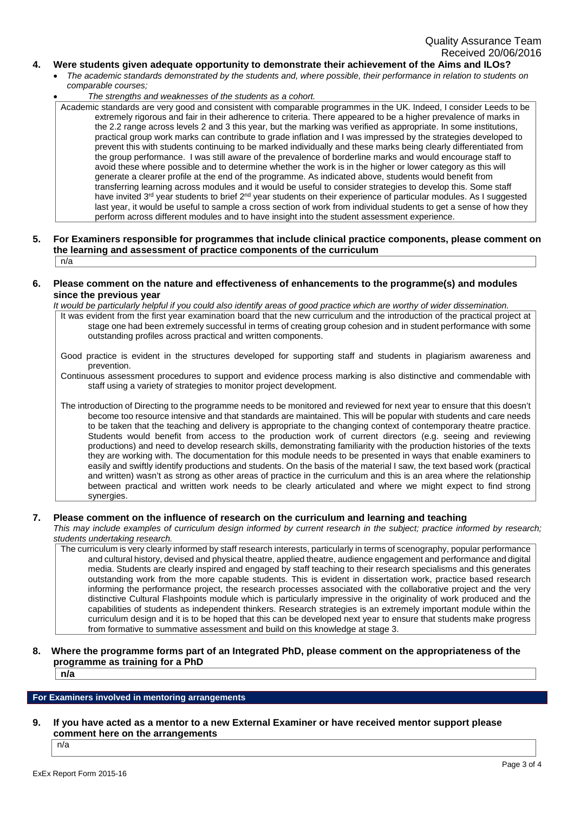## **4. Were students given adequate opportunity to demonstrate their achievement of the Aims and ILOs?**

- *The academic standards demonstrated by the students and, where possible, their performance in relation to students on comparable courses;*
- *The strengths and weaknesses of the students as a cohort.*

Academic standards are very good and consistent with comparable programmes in the UK. Indeed, I consider Leeds to be extremely rigorous and fair in their adherence to criteria. There appeared to be a higher prevalence of marks in the 2.2 range across levels 2 and 3 this year, but the marking was verified as appropriate. In some institutions, practical group work marks can contribute to grade inflation and I was impressed by the strategies developed to prevent this with students continuing to be marked individually and these marks being clearly differentiated from the group performance. I was still aware of the prevalence of borderline marks and would encourage staff to avoid these where possible and to determine whether the work is in the higher or lower category as this will generate a clearer profile at the end of the programme. As indicated above, students would benefit from transferring learning across modules and it would be useful to consider strategies to develop this. Some staff have invited 3rd year students to brief 2nd year students on their experience of particular modules. As I suggested last year, it would be useful to sample a cross section of work from individual students to get a sense of how they perform across different modules and to have insight into the student assessment experience.

#### **5. For Examiners responsible for programmes that include clinical practice components, please comment on the learning and assessment of practice components of the curriculum** n/a

## **6. Please comment on the nature and effectiveness of enhancements to the programme(s) and modules since the previous year**

*It would be particularly helpful if you could also identify areas of good practice which are worthy of wider dissemination.*

It was evident from the first year examination board that the new curriculum and the introduction of the practical project at stage one had been extremely successful in terms of creating group cohesion and in student performance with some outstanding profiles across practical and written components.

Good practice is evident in the structures developed for supporting staff and students in plagiarism awareness and prevention.

Continuous assessment procedures to support and evidence process marking is also distinctive and commendable with staff using a variety of strategies to monitor project development.

The introduction of Directing to the programme needs to be monitored and reviewed for next year to ensure that this doesn't become too resource intensive and that standards are maintained. This will be popular with students and care needs to be taken that the teaching and delivery is appropriate to the changing context of contemporary theatre practice. Students would benefit from access to the production work of current directors (e.g. seeing and reviewing productions) and need to develop research skills, demonstrating familiarity with the production histories of the texts they are working with. The documentation for this module needs to be presented in ways that enable examiners to easily and swiftly identify productions and students. On the basis of the material I saw, the text based work (practical and written) wasn't as strong as other areas of practice in the curriculum and this is an area where the relationship between practical and written work needs to be clearly articulated and where we might expect to find strong synergies.

# **7. Please comment on the influence of research on the curriculum and learning and teaching**

*This may include examples of curriculum design informed by current research in the subject; practice informed by research; students undertaking research.*

The curriculum is very clearly informed by staff research interests, particularly in terms of scenography, popular performance and cultural history, devised and physical theatre, applied theatre, audience engagement and performance and digital media. Students are clearly inspired and engaged by staff teaching to their research specialisms and this generates outstanding work from the more capable students. This is evident in dissertation work, practice based research informing the performance project, the research processes associated with the collaborative project and the very distinctive Cultural Flashpoints module which is particularly impressive in the originality of work produced and the capabilities of students as independent thinkers. Research strategies is an extremely important module within the curriculum design and it is to be hoped that this can be developed next year to ensure that students make progress from formative to summative assessment and build on this knowledge at stage 3.

# **8. Where the programme forms part of an Integrated PhD, please comment on the appropriateness of the programme as training for a PhD**

**n/a**

# **For Examiners involved in mentoring arrangements**

**9. If you have acted as a mentor to a new External Examiner or have received mentor support please comment here on the arrangements**

n/a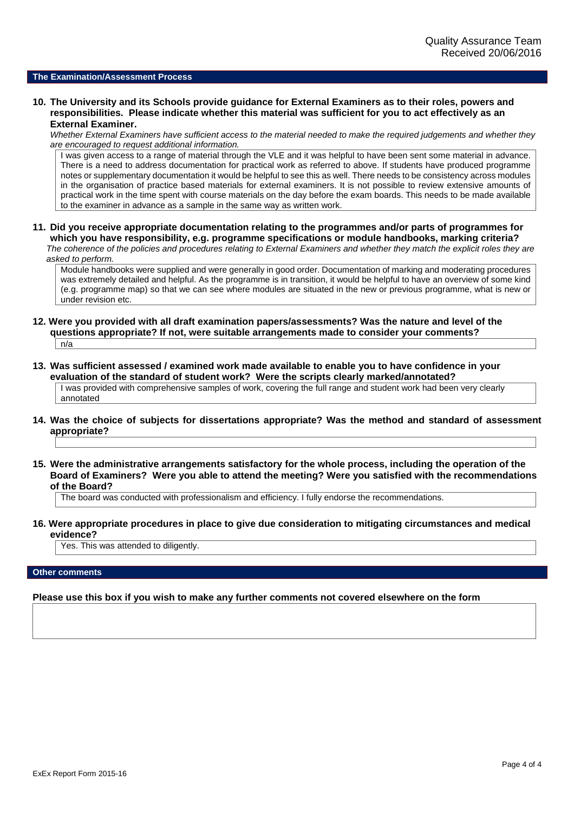#### **The Examination/Assessment Process**

**10. The University and its Schools provide guidance for External Examiners as to their roles, powers and responsibilities. Please indicate whether this material was sufficient for you to act effectively as an External Examiner.**

*Whether External Examiners have sufficient access to the material needed to make the required judgements and whether they are encouraged to request additional information.*

I was given access to a range of material through the VLE and it was helpful to have been sent some material in advance. There is a need to address documentation for practical work as referred to above. If students have produced programme notes or supplementary documentation it would be helpful to see this as well. There needs to be consistency across modules in the organisation of practice based materials for external examiners. It is not possible to review extensive amounts of practical work in the time spent with course materials on the day before the exam boards. This needs to be made available to the examiner in advance as a sample in the same way as written work.

**11. Did you receive appropriate documentation relating to the programmes and/or parts of programmes for which you have responsibility, e.g. programme specifications or module handbooks, marking criteria?** *The coherence of the policies and procedures relating to External Examiners and whether they match the explicit roles they are*

*asked to perform.*

Module handbooks were supplied and were generally in good order. Documentation of marking and moderating procedures was extremely detailed and helpful. As the programme is in transition, it would be helpful to have an overview of some kind (e.g. programme map) so that we can see where modules are situated in the new or previous programme, what is new or under revision etc.

- **12. Were you provided with all draft examination papers/assessments? Was the nature and level of the questions appropriate? If not, were suitable arrangements made to consider your comments?**  $n/a$
- **13. Was sufficient assessed / examined work made available to enable you to have confidence in your evaluation of the standard of student work? Were the scripts clearly marked/annotated?**

I was provided with comprehensive samples of work, covering the full range and student work had been very clearly annotated

- **14. Was the choice of subjects for dissertations appropriate? Was the method and standard of assessment appropriate?**
- **15. Were the administrative arrangements satisfactory for the whole process, including the operation of the Board of Examiners? Were you able to attend the meeting? Were you satisfied with the recommendations of the Board?**

The board was conducted with professionalism and efficiency. I fully endorse the recommendations.

**16. Were appropriate procedures in place to give due consideration to mitigating circumstances and medical evidence?**

Yes. This was attended to diligently.

#### **Other comments**

**Please use this box if you wish to make any further comments not covered elsewhere on the form**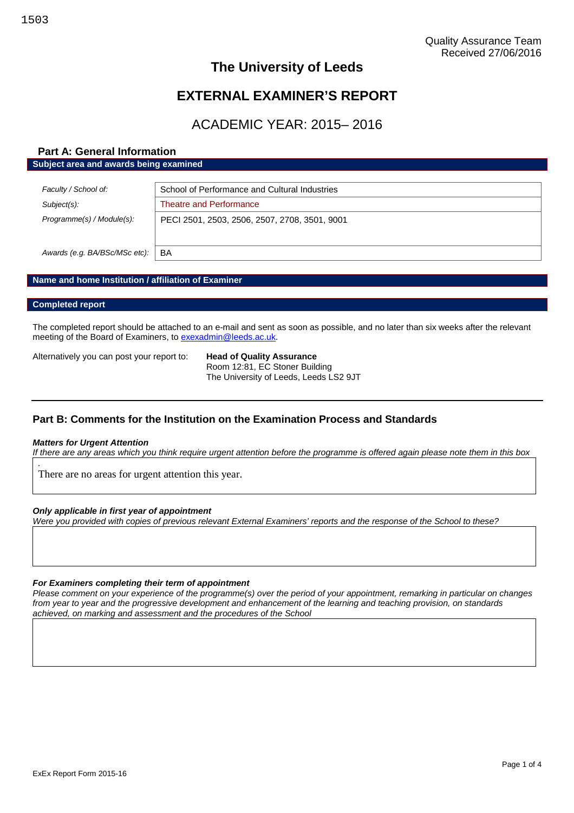# **The University of Leeds**

# **EXTERNAL EXAMINER'S REPORT**

# ACADEMIC YEAR: 2015– 2016

# **Part A: General Information Subject area and awards being examined**

| Faculty / School of:          | School of Performance and Cultural Industries |
|-------------------------------|-----------------------------------------------|
| Subject(s):                   | Theatre and Performance                       |
| Programme(s) / Module(s):     | PECI 2501, 2503, 2506, 2507, 2708, 3501, 9001 |
| Awards (e.g. BA/BSc/MSc etc): | BA                                            |

# **Name and home Institution / affiliation of Examiner**

#### **Completed report**

The completed report should be attached to an e-mail and sent as soon as possible, and no later than six weeks after the relevant meeting of the Board of Examiners, to [exexadmin@leeds.ac.uk.](mailto:exexadmin@leeds.ac.uk)

Alternatively you can post your report to: **Head of Quality Assurance**

Room 12:81, EC Stoner Building The University of Leeds, Leeds LS2 9JT

# **Part B: Comments for the Institution on the Examination Process and Standards**

#### *Matters for Urgent Attention*

*.*

*If there are any areas which you think require urgent attention before the programme is offered again please note them in this box*

There are no areas for urgent attention this year.

#### *Only applicable in first year of appointment*

*Were you provided with copies of previous relevant External Examiners' reports and the response of the School to these?*

#### *For Examiners completing their term of appointment*

*Please comment on your experience of the programme(s) over the period of your appointment, remarking in particular on changes from year to year and the progressive development and enhancement of the learning and teaching provision, on standards achieved, on marking and assessment and the procedures of the School*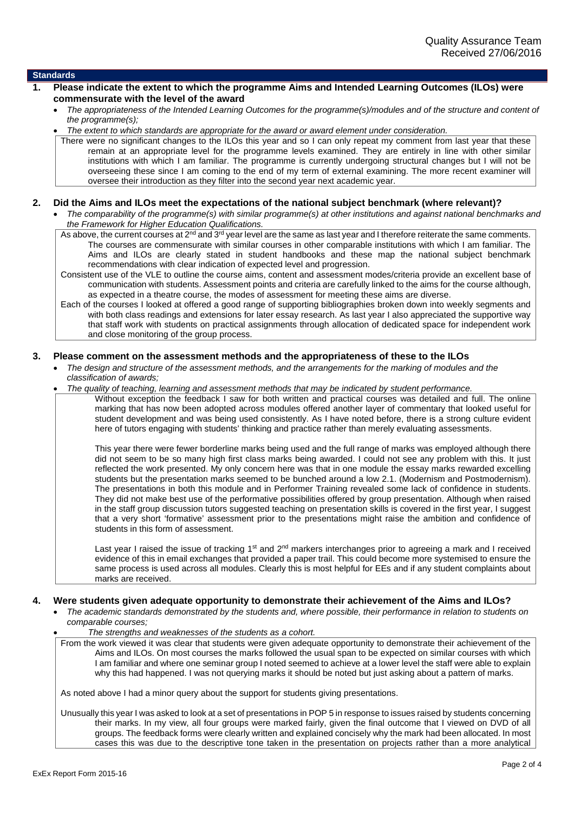## **Standards**

- **1. Please indicate the extent to which the programme Aims and Intended Learning Outcomes (ILOs) were commensurate with the level of the award**
	- *The appropriateness of the Intended Learning Outcomes for the programme(s)/modules and of the structure and content of the programme(s);*
	- *The extent to which standards are appropriate for the award or award element under consideration.*

There were no significant changes to the ILOs this year and so I can only repeat my comment from last year that these remain at an appropriate level for the programme levels examined. They are entirely in line with other similar institutions with which I am familiar. The programme is currently undergoing structural changes but I will not be overseeing these since I am coming to the end of my term of external examining. The more recent examiner will oversee their introduction as they filter into the second year next academic year.

#### **2. Did the Aims and ILOs meet the expectations of the national subject benchmark (where relevant)?**

 *The comparability of the programme(s) with similar programme(s) at other institutions and against national benchmarks and the Framework for Higher Education Qualifications.*

As above, the current courses at 2<sup>nd</sup> and 3<sup>rd</sup> year level are the same as last year and I therefore reiterate the same comments. The courses are commensurate with similar courses in other comparable institutions with which I am familiar. The Aims and ILOs are clearly stated in student handbooks and these map the national subject benchmark recommendations with clear indication of expected level and progression.

Consistent use of the VLE to outline the course aims, content and assessment modes/criteria provide an excellent base of communication with students. Assessment points and criteria are carefully linked to the aims for the course although, as expected in a theatre course, the modes of assessment for meeting these aims are diverse.

Each of the courses I looked at offered a good range of supporting bibliographies broken down into weekly segments and with both class readings and extensions for later essay research. As last year I also appreciated the supportive way that staff work with students on practical assignments through allocation of dedicated space for independent work and close monitoring of the group process.

#### **3. Please comment on the assessment methods and the appropriateness of these to the ILOs**

 *The design and structure of the assessment methods, and the arrangements for the marking of modules and the classification of awards;*

*The quality of teaching, learning and assessment methods that may be indicated by student performance.*

Without exception the feedback I saw for both written and practical courses was detailed and full. The online marking that has now been adopted across modules offered another layer of commentary that looked useful for student development and was being used consistently. As I have noted before, there is a strong culture evident here of tutors engaging with students' thinking and practice rather than merely evaluating assessments.

This year there were fewer borderline marks being used and the full range of marks was employed although there did not seem to be so many high first class marks being awarded. I could not see any problem with this. It just reflected the work presented. My only concern here was that in one module the essay marks rewarded excelling students but the presentation marks seemed to be bunched around a low 2.1. (Modernism and Postmodernism). The presentations in both this module and in Performer Training revealed some lack of confidence in students. They did not make best use of the performative possibilities offered by group presentation. Although when raised in the staff group discussion tutors suggested teaching on presentation skills is covered in the first year, I suggest that a very short 'formative' assessment prior to the presentations might raise the ambition and confidence of students in this form of assessment.

Last year I raised the issue of tracking 1<sup>st</sup> and 2<sup>nd</sup> markers interchanges prior to agreeing a mark and I received evidence of this in email exchanges that provided a paper trail. This could become more systemised to ensure the same process is used across all modules. Clearly this is most helpful for EEs and if any student complaints about marks are received.

#### **4. Were students given adequate opportunity to demonstrate their achievement of the Aims and ILOs?**

- *The academic standards demonstrated by the students and, where possible, their performance in relation to students on comparable courses;*
	- *The strengths and weaknesses of the students as a cohort.*

From the work viewed it was clear that students were given adequate opportunity to demonstrate their achievement of the Aims and ILOs. On most courses the marks followed the usual span to be expected on similar courses with which I am familiar and where one seminar group I noted seemed to achieve at a lower level the staff were able to explain why this had happened. I was not querying marks it should be noted but just asking about a pattern of marks.

As noted above I had a minor query about the support for students giving presentations.

Unusually this year I was asked to look at a set of presentations in POP 5 in response to issues raised by students concerning their marks. In my view, all four groups were marked fairly, given the final outcome that I viewed on DVD of all groups. The feedback forms were clearly written and explained concisely why the mark had been allocated. In most cases this was due to the descriptive tone taken in the presentation on projects rather than a more analytical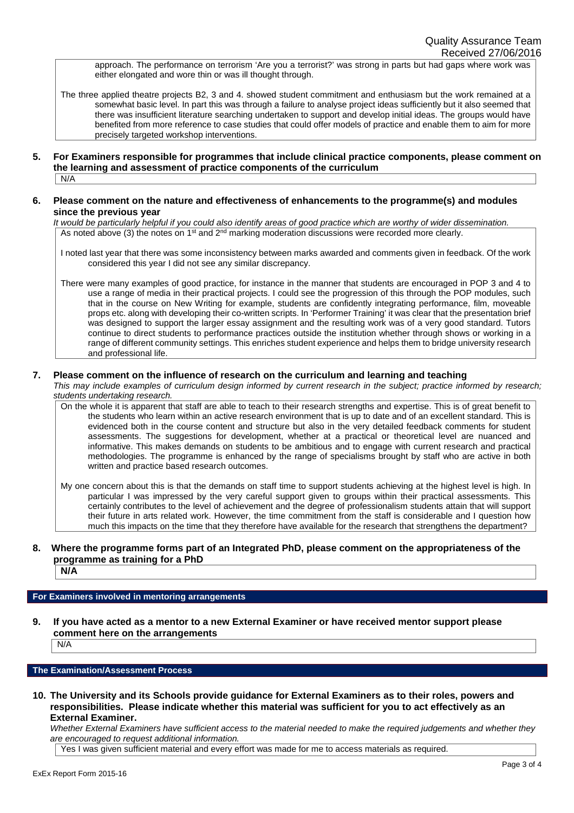approach. The performance on terrorism 'Are you a terrorist?' was strong in parts but had gaps where work was either elongated and wore thin or was ill thought through.

The three applied theatre projects B2, 3 and 4. showed student commitment and enthusiasm but the work remained at a somewhat basic level. In part this was through a failure to analyse project ideas sufficiently but it also seemed that there was insufficient literature searching undertaken to support and develop initial ideas. The groups would have benefited from more reference to case studies that could offer models of practice and enable them to aim for more precisely targeted workshop interventions.

**5. For Examiners responsible for programmes that include clinical practice components, please comment on the learning and assessment of practice components of the curriculum**  $N/A$ 

## **6. Please comment on the nature and effectiveness of enhancements to the programme(s) and modules since the previous year**

*It would be particularly helpful if you could also identify areas of good practice which are worthy of wider dissemination.* As noted above (3) the notes on 1<sup>st</sup> and 2<sup>nd</sup> marking moderation discussions were recorded more clearly.

I noted last year that there was some inconsistency between marks awarded and comments given in feedback. Of the work considered this year I did not see any similar discrepancy.

There were many examples of good practice, for instance in the manner that students are encouraged in POP 3 and 4 to use a range of media in their practical projects. I could see the progression of this through the POP modules, such that in the course on New Writing for example, students are confidently integrating performance, film, moveable props etc. along with developing their co-written scripts. In 'Performer Training' it was clear that the presentation brief was designed to support the larger essay assignment and the resulting work was of a very good standard. Tutors continue to direct students to performance practices outside the institution whether through shows or working in a range of different community settings. This enriches student experience and helps them to bridge university research and professional life.

# **7. Please comment on the influence of research on the curriculum and learning and teaching**

*This may include examples of curriculum design informed by current research in the subject; practice informed by research; students undertaking research.*

On the whole it is apparent that staff are able to teach to their research strengths and expertise. This is of great benefit to the students who learn within an active research environment that is up to date and of an excellent standard. This is evidenced both in the course content and structure but also in the very detailed feedback comments for student assessments. The suggestions for development, whether at a practical or theoretical level are nuanced and informative. This makes demands on students to be ambitious and to engage with current research and practical methodologies. The programme is enhanced by the range of specialisms brought by staff who are active in both written and practice based research outcomes.

My one concern about this is that the demands on staff time to support students achieving at the highest level is high. In particular I was impressed by the very careful support given to groups within their practical assessments. This certainly contributes to the level of achievement and the degree of professionalism students attain that will support their future in arts related work. However, the time commitment from the staff is considerable and I question how much this impacts on the time that they therefore have available for the research that strengthens the department?

# **8. Where the programme forms part of an Integrated PhD, please comment on the appropriateness of the programme as training for a PhD**

**N/A**

# **For Examiners involved in mentoring arrangements**

**9. If you have acted as a mentor to a new External Examiner or have received mentor support please comment here on the arrangements**

N/A

# **The Examination/Assessment Process**

**10. The University and its Schools provide guidance for External Examiners as to their roles, powers and responsibilities. Please indicate whether this material was sufficient for you to act effectively as an External Examiner.**

*Whether External Examiners have sufficient access to the material needed to make the required judgements and whether they are encouraged to request additional information.*

Yes I was given sufficient material and every effort was made for me to access materials as required.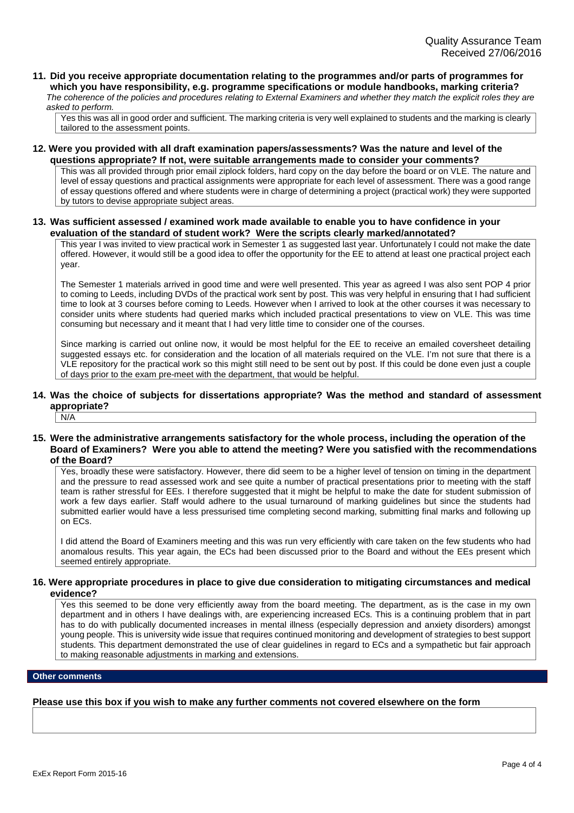**11. Did you receive appropriate documentation relating to the programmes and/or parts of programmes for which you have responsibility, e.g. programme specifications or module handbooks, marking criteria?** *The coherence of the policies and procedures relating to External Examiners and whether they match the explicit roles they are*

*asked to perform.* Yes this was all in good order and sufficient. The marking criteria is very well explained to students and the marking is clearly tailored to the assessment points.

**12. Were you provided with all draft examination papers/assessments? Was the nature and level of the questions appropriate? If not, were suitable arrangements made to consider your comments?**

This was all provided through prior email ziplock folders, hard copy on the day before the board or on VLE. The nature and level of essay questions and practical assignments were appropriate for each level of assessment. There was a good range of essay questions offered and where students were in charge of determining a project (practical work) they were supported by tutors to devise appropriate subject areas.

**13. Was sufficient assessed / examined work made available to enable you to have confidence in your evaluation of the standard of student work? Were the scripts clearly marked/annotated?**

This year I was invited to view practical work in Semester 1 as suggested last year. Unfortunately I could not make the date offered. However, it would still be a good idea to offer the opportunity for the EE to attend at least one practical project each year.

The Semester 1 materials arrived in good time and were well presented. This year as agreed I was also sent POP 4 prior to coming to Leeds, including DVDs of the practical work sent by post. This was very helpful in ensuring that I had sufficient time to look at 3 courses before coming to Leeds. However when I arrived to look at the other courses it was necessary to consider units where students had queried marks which included practical presentations to view on VLE. This was time consuming but necessary and it meant that I had very little time to consider one of the courses.

Since marking is carried out online now, it would be most helpful for the EE to receive an emailed coversheet detailing suggested essays etc. for consideration and the location of all materials required on the VLE. I'm not sure that there is a VLE repository for the practical work so this might still need to be sent out by post. If this could be done even just a couple of days prior to the exam pre-meet with the department, that would be helpful.

# **14. Was the choice of subjects for dissertations appropriate? Was the method and standard of assessment appropriate?**

 $N/A$ 

**15. Were the administrative arrangements satisfactory for the whole process, including the operation of the Board of Examiners? Were you able to attend the meeting? Were you satisfied with the recommendations of the Board?**

Yes, broadly these were satisfactory. However, there did seem to be a higher level of tension on timing in the department and the pressure to read assessed work and see quite a number of practical presentations prior to meeting with the staff team is rather stressful for EEs. I therefore suggested that it might be helpful to make the date for student submission of work a few days earlier. Staff would adhere to the usual turnaround of marking guidelines but since the students had submitted earlier would have a less pressurised time completing second marking, submitting final marks and following up on ECs.

I did attend the Board of Examiners meeting and this was run very efficiently with care taken on the few students who had anomalous results. This year again, the ECs had been discussed prior to the Board and without the EEs present which seemed entirely appropriate.

## **16. Were appropriate procedures in place to give due consideration to mitigating circumstances and medical evidence?**

Yes this seemed to be done very efficiently away from the board meeting. The department, as is the case in my own department and in others I have dealings with, are experiencing increased ECs. This is a continuing problem that in part has to do with publically documented increases in mental illness (especially depression and anxiety disorders) amongst young people. This is university wide issue that requires continued monitoring and development of strategies to best support students. This department demonstrated the use of clear guidelines in regard to ECs and a sympathetic but fair approach to making reasonable adjustments in marking and extensions.

#### **Other comments**

# **Please use this box if you wish to make any further comments not covered elsewhere on the form**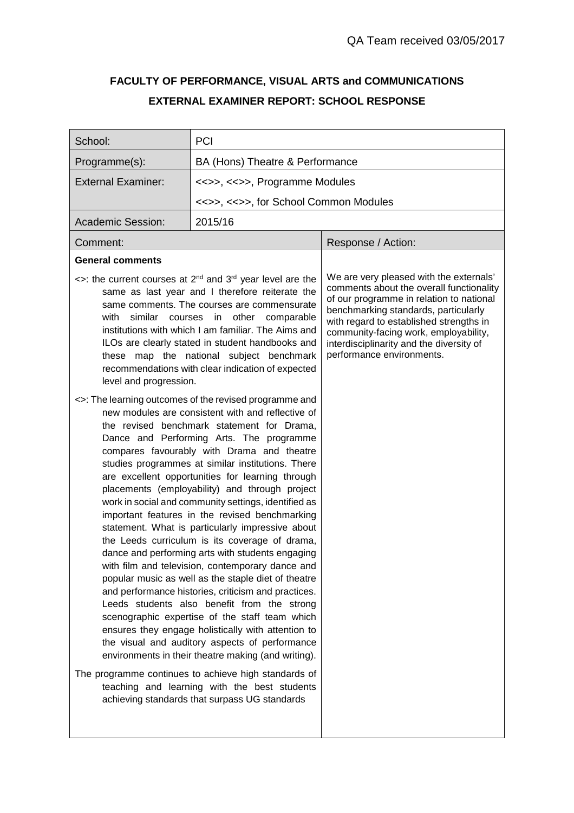# **FACULTY OF PERFORMANCE, VISUAL ARTS and COMMUNICATIONS EXTERNAL EXAMINER REPORT: SCHOOL RESPONSE**

| School:                        | PCI                                                                                                                                                                                                                                                                                                                                                                                                                                                                                                                                                                                                                                                                                                                                                                                                                                                                                                                                                                                                                                                                                                                                                                                                                                                                                                                                                                                                                                                                                                                                                                                                                                                                                                                         |                                                                                                                                                                                                                                                                                                                                      |
|--------------------------------|-----------------------------------------------------------------------------------------------------------------------------------------------------------------------------------------------------------------------------------------------------------------------------------------------------------------------------------------------------------------------------------------------------------------------------------------------------------------------------------------------------------------------------------------------------------------------------------------------------------------------------------------------------------------------------------------------------------------------------------------------------------------------------------------------------------------------------------------------------------------------------------------------------------------------------------------------------------------------------------------------------------------------------------------------------------------------------------------------------------------------------------------------------------------------------------------------------------------------------------------------------------------------------------------------------------------------------------------------------------------------------------------------------------------------------------------------------------------------------------------------------------------------------------------------------------------------------------------------------------------------------------------------------------------------------------------------------------------------------|--------------------------------------------------------------------------------------------------------------------------------------------------------------------------------------------------------------------------------------------------------------------------------------------------------------------------------------|
| Programme(s):                  | BA (Hons) Theatre & Performance                                                                                                                                                                                                                                                                                                                                                                                                                                                                                                                                                                                                                                                                                                                                                                                                                                                                                                                                                                                                                                                                                                                                                                                                                                                                                                                                                                                                                                                                                                                                                                                                                                                                                             |                                                                                                                                                                                                                                                                                                                                      |
| <b>External Examiner:</b>      | <<>>, <<>>, Programme Modules                                                                                                                                                                                                                                                                                                                                                                                                                                                                                                                                                                                                                                                                                                                                                                                                                                                                                                                                                                                                                                                                                                                                                                                                                                                                                                                                                                                                                                                                                                                                                                                                                                                                                               |                                                                                                                                                                                                                                                                                                                                      |
|                                | <<>>, <<>>, for School Common Modules                                                                                                                                                                                                                                                                                                                                                                                                                                                                                                                                                                                                                                                                                                                                                                                                                                                                                                                                                                                                                                                                                                                                                                                                                                                                                                                                                                                                                                                                                                                                                                                                                                                                                       |                                                                                                                                                                                                                                                                                                                                      |
| <b>Academic Session:</b>       | 2015/16                                                                                                                                                                                                                                                                                                                                                                                                                                                                                                                                                                                                                                                                                                                                                                                                                                                                                                                                                                                                                                                                                                                                                                                                                                                                                                                                                                                                                                                                                                                                                                                                                                                                                                                     |                                                                                                                                                                                                                                                                                                                                      |
| Comment:                       |                                                                                                                                                                                                                                                                                                                                                                                                                                                                                                                                                                                                                                                                                                                                                                                                                                                                                                                                                                                                                                                                                                                                                                                                                                                                                                                                                                                                                                                                                                                                                                                                                                                                                                                             | Response / Action:                                                                                                                                                                                                                                                                                                                   |
| <b>General comments</b>        |                                                                                                                                                                                                                                                                                                                                                                                                                                                                                                                                                                                                                                                                                                                                                                                                                                                                                                                                                                                                                                                                                                                                                                                                                                                                                                                                                                                                                                                                                                                                                                                                                                                                                                                             |                                                                                                                                                                                                                                                                                                                                      |
| with<br>level and progression. | $\le$ : the current courses at 2 <sup>nd</sup> and 3 <sup>rd</sup> year level are the<br>same as last year and I therefore reiterate the<br>same comments. The courses are commensurate<br>similar courses in other comparable<br>institutions with which I am familiar. The Aims and<br>ILOs are clearly stated in student handbooks and<br>these map the national subject benchmark<br>recommendations with clear indication of expected<br><>: The learning outcomes of the revised programme and<br>new modules are consistent with and reflective of<br>the revised benchmark statement for Drama,<br>Dance and Performing Arts. The programme<br>compares favourably with Drama and theatre<br>studies programmes at similar institutions. There<br>are excellent opportunities for learning through<br>placements (employability) and through project<br>work in social and community settings, identified as<br>important features in the revised benchmarking<br>statement. What is particularly impressive about<br>the Leeds curriculum is its coverage of drama,<br>dance and performing arts with students engaging<br>with film and television, contemporary dance and<br>popular music as well as the staple diet of theatre<br>and performance histories, criticism and practices.<br>Leeds students also benefit from the strong<br>scenographic expertise of the staff team which<br>ensures they engage holistically with attention to<br>the visual and auditory aspects of performance<br>environments in their theatre making (and writing).<br>The programme continues to achieve high standards of<br>teaching and learning with the best students<br>achieving standards that surpass UG standards | We are very pleased with the externals'<br>comments about the overall functionality<br>of our programme in relation to national<br>benchmarking standards, particularly<br>with regard to established strengths in<br>community-facing work, employability,<br>interdisciplinarity and the diversity of<br>performance environments. |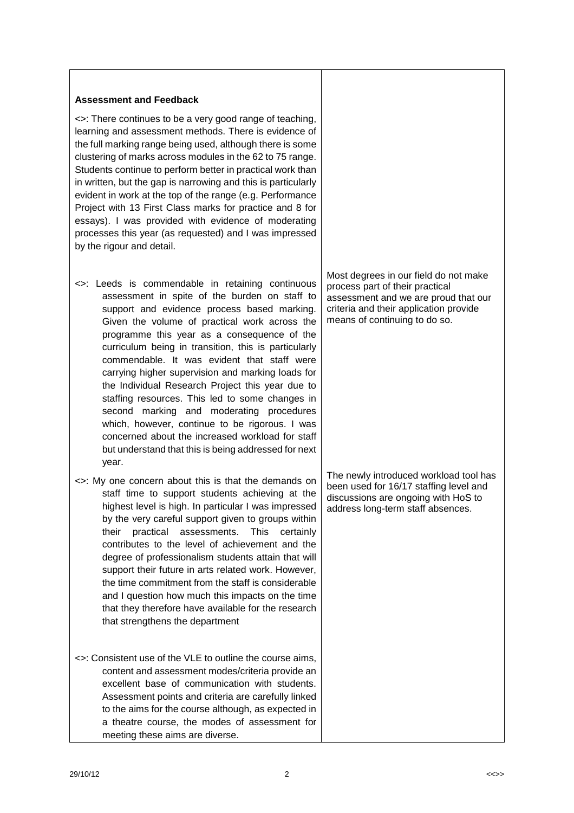# **Assessment and Feedback**

<>: There continues to be a very good range of teaching, learning and assessment methods. There is evidence of the full marking range being used, although there is some clustering of marks across modules in the 62 to 75 range. Students continue to perform better in practical work than in written, but the gap is narrowing and this is particularly evident in work at the top of the range (e.g. Performance Project with 13 First Class marks for practice and 8 for essays). I was provided with evidence of moderating processes this year (as requested) and I was impressed by the rigour and detail.

- <>: Leeds is commendable in retaining continuous assessment in spite of the burden on staff to support and evidence process based marking. Given the volume of practical work across the programme this year as a consequence of the curriculum being in transition, this is particularly commendable. It was evident that staff were carrying higher supervision and marking loads for the Individual Research Project this year due to staffing resources. This led to some changes in second marking and moderating procedures which, however, continue to be rigorous. I was concerned about the increased workload for staff but understand that this is being addressed for next year.
- <>: My one concern about this is that the demands on staff time to support students achieving at the highest level is high. In particular I was impressed by the very careful support given to groups within their practical assessments. This certainly contributes to the level of achievement and the degree of professionalism students attain that will support their future in arts related work. However, the time commitment from the staff is considerable and I question how much this impacts on the time that they therefore have available for the research that strengthens the department
- <>: Consistent use of the VLE to outline the course aims, content and assessment modes/criteria provide an excellent base of communication with students. Assessment points and criteria are carefully linked to the aims for the course although, as expected in a theatre course, the modes of assessment for meeting these aims are diverse.

Most degrees in our field do not make process part of their practical assessment and we are proud that our criteria and their application provide means of continuing to do so.

The newly introduced workload tool has been used for 16/17 staffing level and discussions are ongoing with HoS to address long-term staff absences.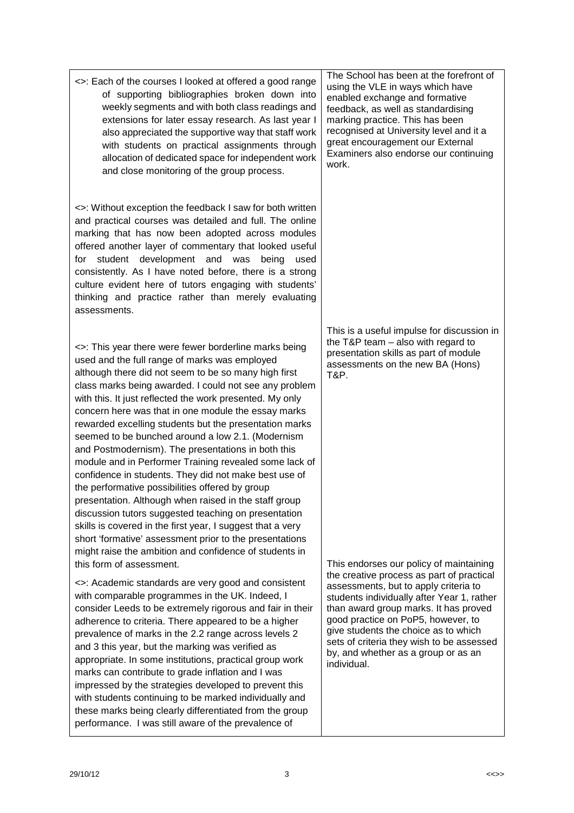| presentation. Although when raised in the staff group<br>discussion tutors suggested teaching on presentation<br>skills is covered in the first year, I suggest that a very<br>short 'formative' assessment prior to the presentations<br>might raise the ambition and confidence of students in<br>this form of assessment.<br><>: Academic standards are very good and consistent<br>with comparable programmes in the UK. Indeed, I<br>consider Leeds to be extremely rigorous and fair in their<br>adherence to criteria. There appeared to be a higher<br>prevalence of marks in the 2.2 range across levels 2<br>and 3 this year, but the marking was verified as<br>appropriate. In some institutions, practical group work<br>marks can contribute to grade inflation and I was<br>impressed by the strategies developed to prevent this<br>with students continuing to be marked individually and<br>these marks being clearly differentiated from the group<br>performance. I was still aware of the prevalence of | This endorses our policy of maintaining<br>the creative process as part of practical<br>assessments, but to apply criteria to<br>students individually after Year 1, rather<br>than award group marks. It has proved<br>good practice on PoP5, however, to<br>give students the choice as to which<br>sets of criteria they wish to be assessed<br>by, and whether as a group or as an<br>individual. |
|------------------------------------------------------------------------------------------------------------------------------------------------------------------------------------------------------------------------------------------------------------------------------------------------------------------------------------------------------------------------------------------------------------------------------------------------------------------------------------------------------------------------------------------------------------------------------------------------------------------------------------------------------------------------------------------------------------------------------------------------------------------------------------------------------------------------------------------------------------------------------------------------------------------------------------------------------------------------------------------------------------------------------|-------------------------------------------------------------------------------------------------------------------------------------------------------------------------------------------------------------------------------------------------------------------------------------------------------------------------------------------------------------------------------------------------------|
| 3<br>29/10/12                                                                                                                                                                                                                                                                                                                                                                                                                                                                                                                                                                                                                                                                                                                                                                                                                                                                                                                                                                                                                | <<>>                                                                                                                                                                                                                                                                                                                                                                                                  |

and close monitoring of the group process.

<>: Without exception the feedback I saw for both written and practical courses was detailed and full. The online marking that has now been adopted across modules offered another layer of commentary that looked useful for student development and was being used consistently. As I have noted before, there is a strong culture evident here of tutors engaging with students' thinking and practice rather than merely evaluating

<>: This year there were fewer borderline marks being

used and the full range of marks was employed although there did not seem to be so many high first class marks being awarded. I could not see any problem with this. It just reflected the work presented. My only concern here was that in one module the essay marks rewarded excelling students but the presentation marks seemed to be bunched around a low 2.1. (Modernism and Postmodernism). The presentations in both this module and in Performer Training revealed some lack of confidence in students. They did not make best use of

the performative possibilities offered by group

assessments.

<>: Each of the courses I looked at offered a good range of supporting bibliographies broken down into weekly segments and with both class readings and extensions for later essay research. As last year I also appreciated the supportive way that staff work with students on practical assignments through allocation of dedicated space for independent work The School has been at the forefront of using the VLE in ways which have enabled exchange and formative feedback, as well as standardising marking practice. This has been recognised at University level and it a great encouragement our External Examiners also endorse our continuing work.

> This is a useful impulse for discussion in the T&P team – also with regard to presentation skills as part of module assessments on the new BA (Hons) T&P.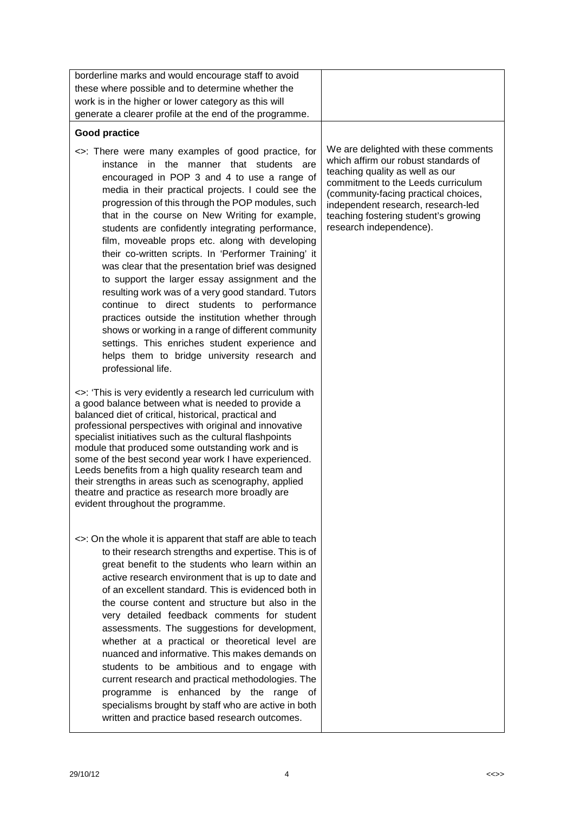| borderline marks and would encourage staff to avoid                                                                                                                                                                                                                                                                                                                                                                                                                                                                                                                                                                                                                                                                                                                                                                                                                                                                       |                                                                                                                                                                                                                                                                                                        |
|---------------------------------------------------------------------------------------------------------------------------------------------------------------------------------------------------------------------------------------------------------------------------------------------------------------------------------------------------------------------------------------------------------------------------------------------------------------------------------------------------------------------------------------------------------------------------------------------------------------------------------------------------------------------------------------------------------------------------------------------------------------------------------------------------------------------------------------------------------------------------------------------------------------------------|--------------------------------------------------------------------------------------------------------------------------------------------------------------------------------------------------------------------------------------------------------------------------------------------------------|
| these where possible and to determine whether the                                                                                                                                                                                                                                                                                                                                                                                                                                                                                                                                                                                                                                                                                                                                                                                                                                                                         |                                                                                                                                                                                                                                                                                                        |
| work is in the higher or lower category as this will                                                                                                                                                                                                                                                                                                                                                                                                                                                                                                                                                                                                                                                                                                                                                                                                                                                                      |                                                                                                                                                                                                                                                                                                        |
| generate a clearer profile at the end of the programme.                                                                                                                                                                                                                                                                                                                                                                                                                                                                                                                                                                                                                                                                                                                                                                                                                                                                   |                                                                                                                                                                                                                                                                                                        |
| Good practice                                                                                                                                                                                                                                                                                                                                                                                                                                                                                                                                                                                                                                                                                                                                                                                                                                                                                                             |                                                                                                                                                                                                                                                                                                        |
| <>: There were many examples of good practice, for<br>instance in the manner that students are<br>encouraged in POP 3 and 4 to use a range of<br>media in their practical projects. I could see the<br>progression of this through the POP modules, such<br>that in the course on New Writing for example,<br>students are confidently integrating performance,<br>film, moveable props etc. along with developing<br>their co-written scripts. In 'Performer Training' it<br>was clear that the presentation brief was designed<br>to support the larger essay assignment and the<br>resulting work was of a very good standard. Tutors<br>continue to direct students to performance<br>practices outside the institution whether through<br>shows or working in a range of different community<br>settings. This enriches student experience and<br>helps them to bridge university research and<br>professional life. | We are delighted with these comments<br>which affirm our robust standards of<br>teaching quality as well as our<br>commitment to the Leeds curriculum<br>(community-facing practical choices,<br>independent research, research-led<br>teaching fostering student's growing<br>research independence). |
| <>: 'This is very evidently a research led curriculum with<br>a good balance between what is needed to provide a<br>balanced diet of critical, historical, practical and<br>professional perspectives with original and innovative<br>specialist initiatives such as the cultural flashpoints<br>module that produced some outstanding work and is<br>some of the best second year work I have experienced.<br>Leeds benefits from a high quality research team and<br>their strengths in areas such as scenography, applied<br>theatre and practice as research more broadly are<br>evident throughout the programme.                                                                                                                                                                                                                                                                                                    |                                                                                                                                                                                                                                                                                                        |
| <>: On the whole it is apparent that staff are able to teach<br>to their research strengths and expertise. This is of<br>great benefit to the students who learn within an<br>active research environment that is up to date and<br>of an excellent standard. This is evidenced both in<br>the course content and structure but also in the<br>very detailed feedback comments for student<br>assessments. The suggestions for development,<br>whether at a practical or theoretical level are<br>nuanced and informative. This makes demands on<br>students to be ambitious and to engage with<br>current research and practical methodologies. The<br>programme is enhanced by the range of<br>specialisms brought by staff who are active in both<br>written and practice based research outcomes.                                                                                                                     |                                                                                                                                                                                                                                                                                                        |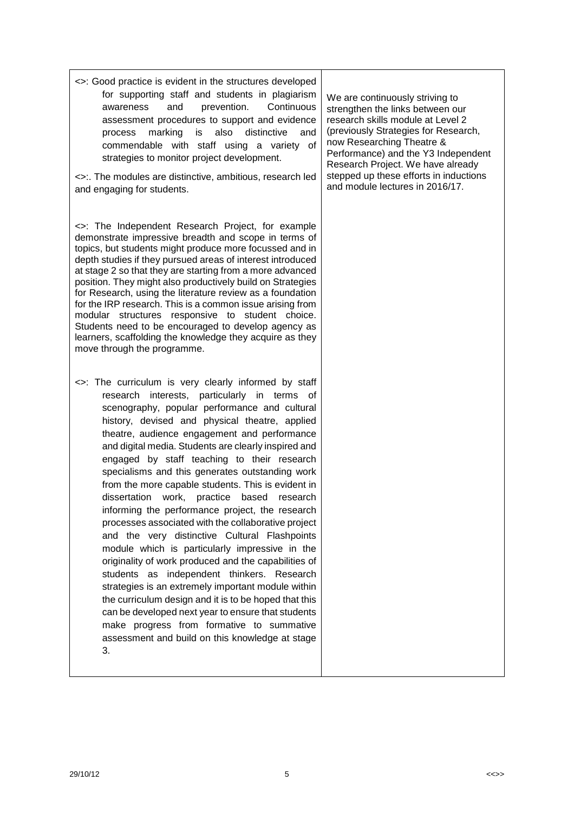| <>: Good practice is evident in the structures developed<br>for supporting staff and students in plagiarism<br>and<br>prevention.<br>Continuous<br>awareness<br>assessment procedures to support and evidence<br>marking<br>also<br>is<br>distinctive<br>and<br>process<br>commendable with staff using a variety of<br>strategies to monitor project development.<br><>:. The modules are distinctive, ambitious, research led<br>and engaging for students.                                                                                                                                                                                                                                                                                                                                                                                                                                                                                                                                                                                                                                                                      | We are continuously striving to<br>strengthen the links between our<br>research skills module at Level 2<br>(previously Strategies for Research,<br>now Researching Theatre &<br>Performance) and the Y3 Independent<br>Research Project. We have already<br>stepped up these efforts in inductions<br>and module lectures in 2016/17. |
|------------------------------------------------------------------------------------------------------------------------------------------------------------------------------------------------------------------------------------------------------------------------------------------------------------------------------------------------------------------------------------------------------------------------------------------------------------------------------------------------------------------------------------------------------------------------------------------------------------------------------------------------------------------------------------------------------------------------------------------------------------------------------------------------------------------------------------------------------------------------------------------------------------------------------------------------------------------------------------------------------------------------------------------------------------------------------------------------------------------------------------|----------------------------------------------------------------------------------------------------------------------------------------------------------------------------------------------------------------------------------------------------------------------------------------------------------------------------------------|
| <>: The Independent Research Project, for example<br>demonstrate impressive breadth and scope in terms of<br>topics, but students might produce more focussed and in<br>depth studies if they pursued areas of interest introduced<br>at stage 2 so that they are starting from a more advanced<br>position. They might also productively build on Strategies<br>for Research, using the literature review as a foundation<br>for the IRP research. This is a common issue arising from<br>modular structures responsive to student choice.<br>Students need to be encouraged to develop agency as<br>learners, scaffolding the knowledge they acquire as they<br>move through the programme.                                                                                                                                                                                                                                                                                                                                                                                                                                      |                                                                                                                                                                                                                                                                                                                                        |
| <>: The curriculum is very clearly informed by staff<br>interests, particularly in terms of<br>research<br>scenography, popular performance and cultural<br>history, devised and physical theatre, applied<br>theatre, audience engagement and performance<br>and digital media. Students are clearly inspired and<br>engaged by staff teaching to their research<br>specialisms and this generates outstanding work<br>from the more capable students. This is evident in<br>dissertation<br>work,<br>based<br>practice<br>research<br>informing the performance project, the research<br>processes associated with the collaborative project<br>and the very distinctive Cultural Flashpoints<br>module which is particularly impressive in the<br>originality of work produced and the capabilities of<br>students as independent thinkers. Research<br>strategies is an extremely important module within<br>the curriculum design and it is to be hoped that this<br>can be developed next year to ensure that students<br>make progress from formative to summative<br>assessment and build on this knowledge at stage<br>3. |                                                                                                                                                                                                                                                                                                                                        |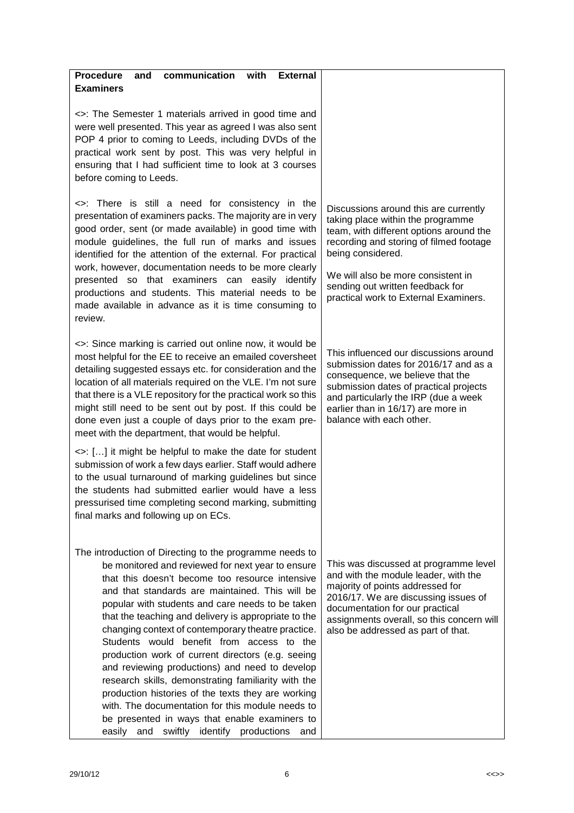| communication<br><b>Procedure</b><br>with<br>and<br><b>External</b>                                                                                                                                                                                                                                                                                                                                                                                                                                                                                                                                                                                                                                                                                                                                                   |                                                                                                                                                                                                                                                                                                          |
|-----------------------------------------------------------------------------------------------------------------------------------------------------------------------------------------------------------------------------------------------------------------------------------------------------------------------------------------------------------------------------------------------------------------------------------------------------------------------------------------------------------------------------------------------------------------------------------------------------------------------------------------------------------------------------------------------------------------------------------------------------------------------------------------------------------------------|----------------------------------------------------------------------------------------------------------------------------------------------------------------------------------------------------------------------------------------------------------------------------------------------------------|
| <b>Examiners</b>                                                                                                                                                                                                                                                                                                                                                                                                                                                                                                                                                                                                                                                                                                                                                                                                      |                                                                                                                                                                                                                                                                                                          |
|                                                                                                                                                                                                                                                                                                                                                                                                                                                                                                                                                                                                                                                                                                                                                                                                                       |                                                                                                                                                                                                                                                                                                          |
| <>: The Semester 1 materials arrived in good time and<br>were well presented. This year as agreed I was also sent<br>POP 4 prior to coming to Leeds, including DVDs of the<br>practical work sent by post. This was very helpful in<br>ensuring that I had sufficient time to look at 3 courses<br>before coming to Leeds.                                                                                                                                                                                                                                                                                                                                                                                                                                                                                            |                                                                                                                                                                                                                                                                                                          |
| <>: There is still a need for consistency in the<br>presentation of examiners packs. The majority are in very<br>good order, sent (or made available) in good time with<br>module guidelines, the full run of marks and issues<br>identified for the attention of the external. For practical<br>work, however, documentation needs to be more clearly<br>presented so that examiners can easily identify<br>productions and students. This material needs to be<br>made available in advance as it is time consuming to<br>review.                                                                                                                                                                                                                                                                                   | Discussions around this are currently<br>taking place within the programme<br>team, with different options around the<br>recording and storing of filmed footage<br>being considered.<br>We will also be more consistent in<br>sending out written feedback for<br>practical work to External Examiners. |
| <>: Since marking is carried out online now, it would be<br>most helpful for the EE to receive an emailed coversheet<br>detailing suggested essays etc. for consideration and the<br>location of all materials required on the VLE. I'm not sure<br>that there is a VLE repository for the practical work so this<br>might still need to be sent out by post. If this could be<br>done even just a couple of days prior to the exam pre-<br>meet with the department, that would be helpful.                                                                                                                                                                                                                                                                                                                          | This influenced our discussions around<br>submission dates for 2016/17 and as a<br>consequence, we believe that the<br>submission dates of practical projects<br>and particularly the IRP (due a week<br>earlier than in 16/17) are more in<br>balance with each other.                                  |
| <>: [] it might be helpful to make the date for student<br>submission of work a few days earlier. Staff would adhere<br>to the usual turnaround of marking guidelines but since<br>the students had submitted earlier would have a less<br>pressurised time completing second marking, submitting<br>final marks and following up on ECs.                                                                                                                                                                                                                                                                                                                                                                                                                                                                             |                                                                                                                                                                                                                                                                                                          |
| The introduction of Directing to the programme needs to<br>be monitored and reviewed for next year to ensure<br>that this doesn't become too resource intensive<br>and that standards are maintained. This will be<br>popular with students and care needs to be taken<br>that the teaching and delivery is appropriate to the<br>changing context of contemporary theatre practice.<br>Students would benefit from access to the<br>production work of current directors (e.g. seeing<br>and reviewing productions) and need to develop<br>research skills, demonstrating familiarity with the<br>production histories of the texts they are working<br>with. The documentation for this module needs to<br>be presented in ways that enable examiners to<br>easily<br>and<br>swiftly<br>identify productions<br>and | This was discussed at programme level<br>and with the module leader, with the<br>majority of points addressed for<br>2016/17. We are discussing issues of<br>documentation for our practical<br>assignments overall, so this concern will<br>also be addressed as part of that.                          |